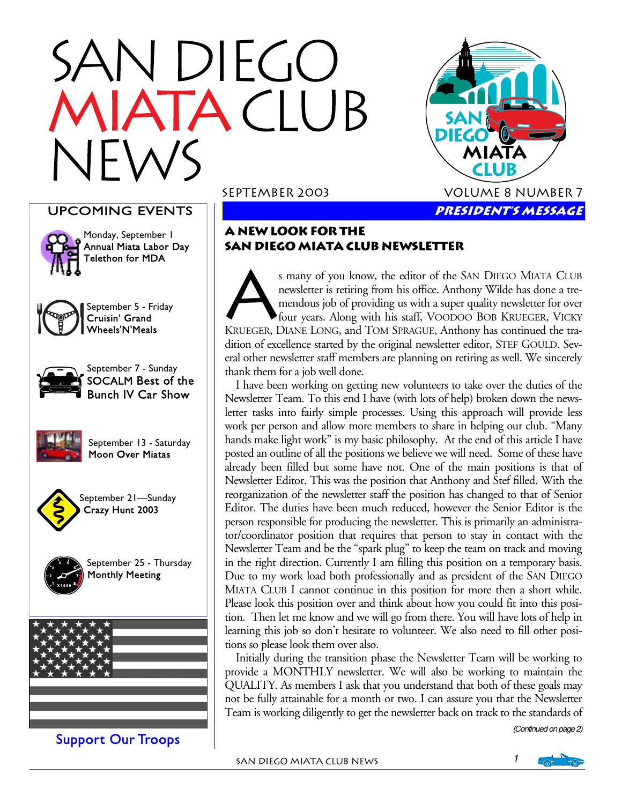# **VDIEGO** TACLUB

### UPCOMING EVENTS



Monday, September 1 Annual Miata Labor Day Telethon for MDA



September 5 - Friday Cruisin' Grand Wheels'N'Meals



September 7 - Sunday SOCALM Best of the Bunch IV Car Show



September 13 - Saturday Moon Over Miatas



September 21—Sunday Crazy Hunt 2003



September 25 - Thursday Monthly Meeting



Support Our Troops

#### September 2003 Volume 8 Number 7



s many of you know, the editor of the SAN DIEGO MIATA CLUB<br>newsletter is retiring from his office. Anthony Wilde has done a tre-<br>mendous job of providing us with a super quality newsletter for over<br>four years. Along with h newsletter is retiring from his office. Anthony Wilde has done a tremendous job of providing us with a super quality newsletter for over four years. Along with his staff, VOODOO BOB KRUEGER, VICKY KRUEGER, DIANE LONG, and TOM SPRAGUE, Anthony has continued the tradition of excellence started by the original newsletter editor, STEF GOULD. Several other newsletter staff members are planning on retiring as well. We sincerely thank them for a job well done.

 I have been working on getting new volunteers to take over the duties of the Newsletter Team. To this end I have (with lots of help) broken down the newsletter tasks into fairly simple processes. Using this approach will provide less work per person and allow more members to share in helping our club. "Many hands make light work" is my basic philosophy. At the end of this article I have posted an outline of all the positions we believe we will need. Some of these have already been filled but some have not. One of the main positions is that of Newsletter Editor. This was the position that Anthony and Stef filled. With the reorganization of the newsletter staff the position has changed to that of Senior Editor. The duties have been much reduced, however the Senior Editor is the person responsible for producing the newsletter. This is primarily an administrator/coordinator position that requires that person to stay in contact with the Newsletter Team and be the "spark plug" to keep the team on track and moving in the right direction. Currently I am filling this position on a temporary basis. Due to my work load both professionally and as president of the SAN DIEGO MIATA CLUB I cannot continue in this position for more then a short while. Please look this position over and think about how you could fit into this position. Then let me know and we will go from there. You will have lots of help in learning this job so don't hesitate to volunteer. We also need to fill other positions so please look them over also.

 Initially during the transition phase the Newsletter Team will be working to provide a MONTHLY newsletter. We will also be working to maintain the QUALITY. As members I ask that you understand that both of these goals may not be fully attainable for a month or two. I can assure you that the Newsletter Team is working diligently to get the newsletter back on track to the standards of

(Continued on page 2)

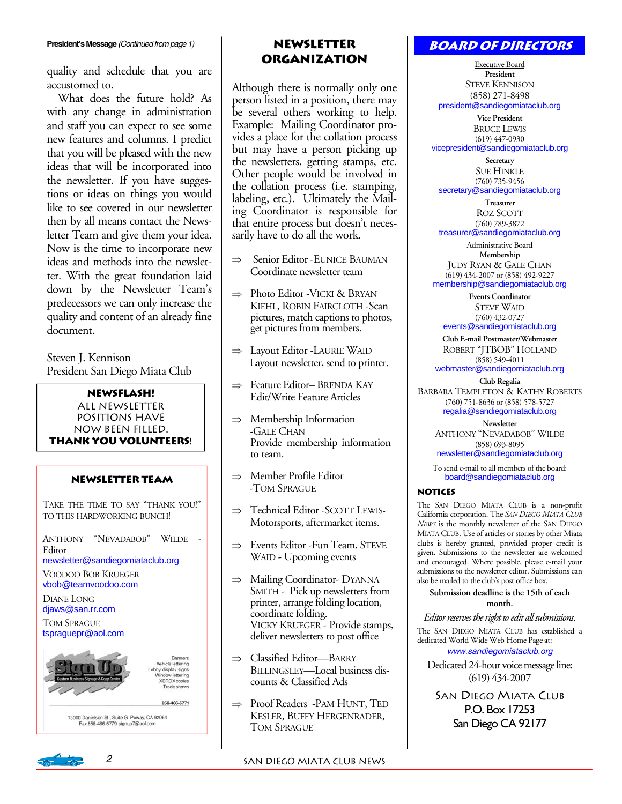quality and schedule that you are accustomed to.

 What does the future hold? As with any change in administration and staff you can expect to see some new features and columns. I predict that you will be pleased with the new ideas that will be incorporated into the newsletter. If you have suggestions or ideas on things you would like to see covered in our newsletter then by all means contact the Newsletter Team and give them your idea. Now is the time to incorporate new ideas and methods into the newsletter. With the great foundation laid down by the Newsletter Team's predecessors we can only increase the quality and content of an already fine document.

Steven J. Kennison President San Diego Miata Club

#### **NEWSFLASH!**

ALL NEWSLETTER POSITIONS HAVE NOW BEEN FILLED. **THANK YOU VOLUNTEERS!** 

#### **Newsletter Team**

TAKE THE TIME TO SAY "THANK YOU!" TO THIS HARDWORKING BUNCH!

ANTHONY "NEVADABOB" WILDE - Editor newsletter@sandiegomiataclub.org

VOODOO BOB KRUEGER

vbob@teamvoodoo.com

DIANE LONG djaws@san.rr.com

TOM SPRAGUE tspraguepr@aol.com

858-486-6771

Ranners Vehicle lettering by display signs<br>Mindow lettering<br>XEROX copies Trade shows

13000 Danielson St., Suite G Poway, CA 92064<br>Fax 858-486-6779 signup7@aol.com

## **Organization**

Although there is normally only one person listed in a position, there may be several others working to help. Example: Mailing Coordinator provides a place for the collation process but may have a person picking up the newsletters, getting stamps, etc. Other people would be involved in the collation process (i.e. stamping, labeling, etc.). Ultimately the Mailing Coordinator is responsible for that entire process but doesn't necessarily have to do all the work.

- ⇒ Senior Editor -EUNICE BAUMAN Coordinate newsletter team
- ⇒ Photo Editor -VICKI & BRYAN KIEHL, ROBIN FAIRCLOTH -Scan pictures, match captions to photos, get pictures from members.
- ⇒ Layout Editor -LAURIE WAID Layout newsletter, send to printer.
- ⇒ Feature Editor– BRENDA KAY Edit/Write Feature Articles
- ⇒ Membership Information -GALE CHAN Provide membership information to team.
- ⇒ Member Profile Editor -TOM SPRAGUE
- ⇒ Technical Editor -SCOTT LEWIS-Motorsports, aftermarket items.
- ⇒ Events Editor -Fun Team, STEVE WAID - Upcoming events
- ⇒ Mailing Coordinator- DYANNA SMITH - Pick up newsletters from printer, arrange folding location, coordinate folding. VICKY KRUEGER - Provide stamps, deliver newsletters to post office
- ⇒ Classified Editor—BARRY BILLINGSLEY—Local business discounts & Classified Ads
- ⇒ Proof Readers -PAM HUNT, TED KESLER, BUFFY HERGENRADER, TOM SPRAGUE

#### **Board of Directors**

Executive Board **President**  STEVE KENNISON (858) 271-8498 president@sandiegomiataclub.org

**Vice President**  BRUCE LEWIS (619) 447-0930 vicepresident@sandiegomiataclub.org

**Secretary**  SUE HINKLE (760) 735-9456 secretary@sandiegomiataclub.org

**Treasurer**  ROZ SCOTT (760) 789-3872 treasurer@sandiegomiataclub.org

Administrative Board **Membership**  JUDY RYAN & GALE CHAN (619) 434-2007 or (858) 492-9227 membership@sandiegomiataclub.org

**Events Coordinator**  STEVE WAID (760) 432-0727 events@sandiegomiataclub.org

**Club E-mail Postmaster/Webmaster**  ROBERT "JTBOB" HOLLAND (858) 549-4011 webmaster@sandiegomiataclub.org

**Club Regalia**  BARBARA TEMPLETON & KATHY ROBERTS (760) 751-8636 or (858) 578-5727 regalia@sandiegomiataclub.org

> **Newsletter**  ANTHONY "NEVADABOB" WILDE (858) 693-8095 newsletter@sandiegomiataclub.org

To send e-mail to all members of the board: board@sandiegomiataclub.org

#### **Notices**

The SAN DIEGO MIATA CLUB is a non-profit California corporation. The *SAN DIEGO MIATA CLUB NEWS* is the monthly newsletter of the SAN DIEGO MIATA CLUB. Use of articles or stories by other Miata clubs is hereby granted, provided proper credit is given. Submissions to the newsletter are welcomed and encouraged. Where possible, please e-mail your submissions to the newsletter editor. Submissions can also be mailed to the club's post office box.

**Submission deadline is the 15th of each month.** 

*Editor reserves the right to edit all submissions.*

The SAN DIEGO MIATA CLUB has established a dedicated World Wide Web Home Page at: www.sandiegomiataclub.org

Dedicated 24-hour voice message line: (619) 434-2007

SAN DIEGO MIATA CLUB P.O. Box 17253 San Diego CA 92177

2 SAN DIEGO MIATA CLUB NEWS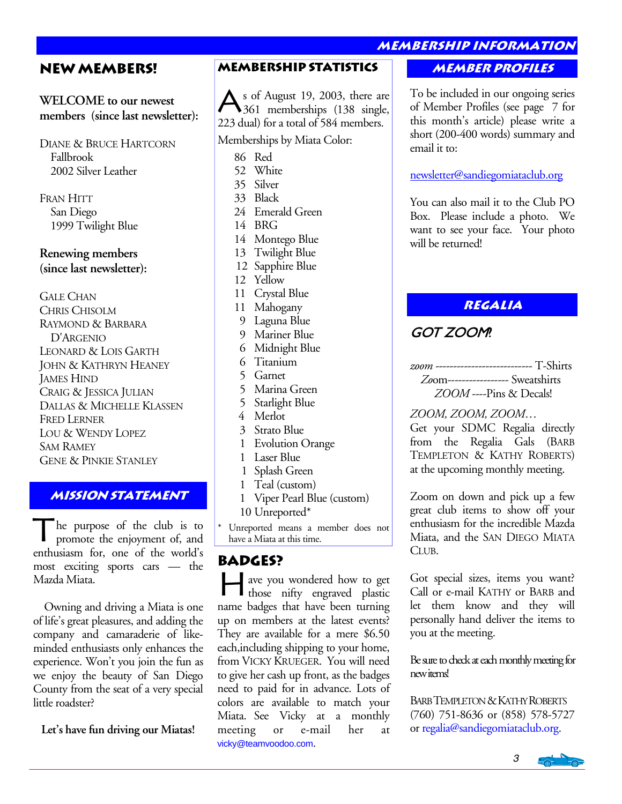**membership information** 

#### **New Members!**

#### **WELCOME to our newest members (since last newsletter):**

DIANE & BRUCE HARTCORN Fallbrook 2002 Silver Leather

FRAN HITT San Diego 1999 Twilight Blue

**Renewing members (since last newsletter):** 

GALE CHAN CHRIS CHISOLM RAYMOND & BARBARA D'ARGENIO LEONARD & LOIS GARTH JOHN & KATHRYN HEANEY JAMES HIND CRAIG & JESSICA JULIAN DALLAS & MICHELLE KLASSEN FRED LERNER LOU & WENDY LOPEZ SAM RAMEY GENE & PINKIE STANLEY

#### **Mission statement**

The purpose of the club is to promote the enjoyment of, and enthusiasm for, one of the world's most exciting sports cars — the Mazda Miata.

 Owning and driving a Miata is one of life's great pleasures, and adding the company and camaraderie of likeminded enthusiasts only enhances the experience. Won't you join the fun as we enjoy the beauty of San Diego County from the seat of a very special little roadster?

**Let's have fun driving our Miatas!** 

#### **Membership Statistics Member profiles**

s of August 19, 2003, there are 361 memberships (138 single, 223 dual) for a total of 584 members.

Memberships by Miata Color:

86 Red

- 52 White
- 35 Silver
- 33 Black
- 24 Emerald Green

14 BRG

- 14 Montego Blue
- 13 Twilight Blue
- 12 Sapphire Blue
- 12 Yellow
- 11 Crystal Blue
- 11 Mahogany
- 9 Laguna Blue
- 9 Mariner Blue
- 6 Midnight Blue
- 6 Titanium
- 5 Garnet
- 5 Marina Green
- 5 Starlight Blue
- 4 Merlot
- 3 Strato Blue
- 1 Evolution Orange
- 1 Laser Blue
- 1 Splash Green
- 1 Teal (custom)
- 1 Viper Pearl Blue (custom) 10 Unreported\*
- \* Unreported means a member does not have a Miata at this time.

#### **Badges?**

H ave you wondered how to get those nifty engraved plastic name badges that have been turning up on members at the latest events? They are available for a mere \$6.50 each,including shipping to your home, from VICKY KRUEGER. You will need to give her cash up front, as the badges need to paid for in advance. Lots of colors are available to match your Miata. See Vicky at a monthly meeting or e-mail her at vicky@teamvoodoo.com.

To be included in our ongoing series of Member Profiles (see page 7 for this month's article) please write a short (200-400 words) summary and email it to:

#### newsletter@sandiegomiataclub.org

You can also mail it to the Club PO Box. Please include a photo. We want to see your face. Your photo will be returned!

**Regalia** 

## GOT ZOOM?

*zoom* --------------------------- T-Shirts *Zo*om----------------- Sweatshirts *ZOOM* ----Pins & Decals!

*ZOOM, ZOOM, ZOOM*… Get your SDMC Regalia directly

from the Regalia Gals (BARB TEMPLETON & KATHY ROBERTS) at the upcoming monthly meeting.

Zoom on down and pick up a few great club items to show off your enthusiasm for the incredible Mazda Miata, and the SAN DIEGO MIATA CLUB.

Got special sizes, items you want? Call or e-mail KATHY or BARB and let them know and they will personally hand deliver the items to you at the meeting.

Be sure to check at each monthly meeting for new items!

BARB TEMPLETON & KATHY ROBERTS (760) 751-8636 or (858) 578-5727 or regalia@sandiegomiataclub.org.

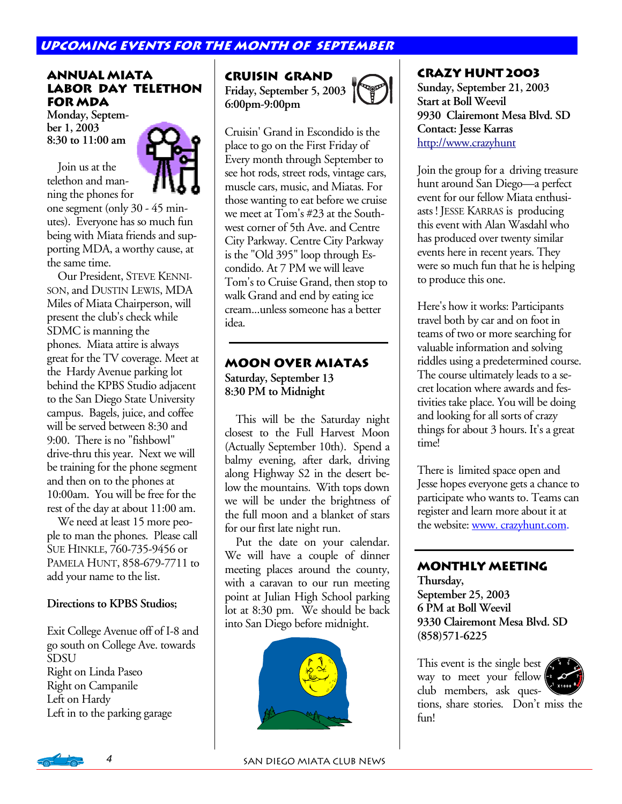#### **Upcoming Events for the month of SEPTEMBER**

#### **Annual Miata Labor Day Telethon for MDA**

**Monday, September 1, 2003 8:30 to 11:00 am** 

 Join us at the telethon and manning the phones for



one segment (only 30 - 45 minutes). Everyone has so much fun being with Miata friends and supporting MDA, a worthy cause, at the same time.

 Our President, STEVE KENNI-SON, and DUSTIN LEWIS, MDA Miles of Miata Chairperson, will present the club's check while SDMC is manning the phones. Miata attire is always great for the TV coverage. Meet at the Hardy Avenue parking lot behind the KPBS Studio adjacent to the San Diego State University campus. Bagels, juice, and coffee will be served between 8:30 and 9:00. There is no "fishbowl" drive-thru this year. Next we will be training for the phone segment and then on to the phones at 10:00am. You will be free for the rest of the day at about 11:00 am.

 We need at least 15 more people to man the phones. Please call SUE HINKLE, 760-735-9456 or PAMELA HUNT, 858-679-7711 to add your name to the list.

#### **Directions to KPBS Studios;**

Exit College Avenue off of I-8 and go south on College Ave. towards SDSU Right on Linda Paseo Right on Campanile Left on Hardy Left in to the parking garage

**Cruisin Grand Friday, September 5, 2003 6:00pm-9:00pm** 

Cruisin' Grand in Escondido is the place to go on the First Friday of Every month through September to see hot rods, street rods, vintage cars, muscle cars, music, and Miatas. For those wanting to eat before we cruise we meet at Tom's #23 at the Southwest corner of 5th Ave. and Centre City Parkway. Centre City Parkway is the "Old 395" loop through Escondido. At 7 PM we will leave Tom's to Cruise Grand, then stop to walk Grand and end by eating ice cream...unless someone has a better idea.

#### **Moon Over Miatas Saturday, September 13 8:30 PM to Midnight**

 This will be the Saturday night closest to the Full Harvest Moon (Actually September 10th). Spend a balmy evening, after dark, driving along Highway S2 in the desert below the mountains. With tops down we will be under the brightness of the full moon and a blanket of stars for our first late night run.

 Put the date on your calendar. We will have a couple of dinner meeting places around the county, with a caravan to our run meeting point at Julian High School parking lot at 8:30 pm. We should be back into San Diego before midnight.



#### **CRAZY HUNT 2003**

**Sunday, September 21, 2003 Start at Boll Weevil 9930 Clairemont Mesa Blvd. SD Contact: Jesse Karras**  http://www.crazyhunt

Join the group for a driving treasure hunt around San Diego—a perfect event for our fellow Miata enthusiasts ! JESSE KARRAS is producing this event with Alan Wasdahl who has produced over twenty similar events here in recent years. They were so much fun that he is helping to produce this one.

Here's how it works: Participants travel both by car and on foot in teams of two or more searching for valuable information and solving riddles using a predetermined course. The course ultimately leads to a secret location where awards and festivities take place. You will be doing and looking for all sorts of crazy things for about 3 hours. It's a great time!

There is limited space open and Jesse hopes everyone gets a chance to participate who wants to. Teams can register and learn more about it at the website: www. crazyhunt.com.

#### **Monthly Meeting**

**Thursday, September 25, 2003 6 PM at Boll Weevil 9330 Clairemont Mesa Blvd. SD (858)571-6225** 

This event is the single best  $\triangle$ way to meet your fellow club members, ask questions, share stories. Don't miss the fun!

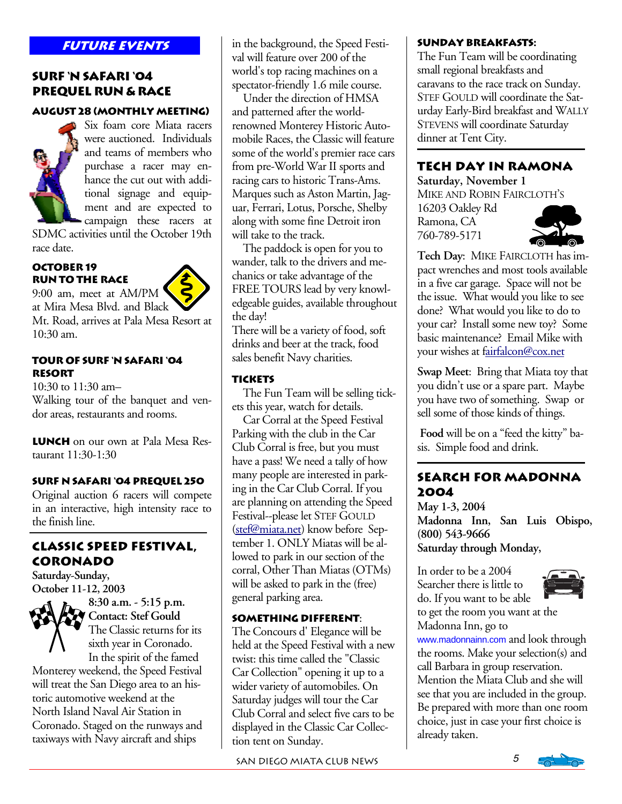#### **Surf 'N Safari '04 Prequel Run & Race**

#### **August 28 (Monthly Meeting)**



Six foam core Miata racers were auctioned. Individuals and teams of members who purchase a racer may enhance the cut out with additional signage and equipment and are expected to campaign these racers at

SDMC activities until the October 19th race date.

#### **October 19 Run to the Race**



at Mira Mesa Blvd. and Black Mt. Road, arrives at Pala Mesa Resort at 10:30 am.

#### **Tour of Surf 'N Safari '04 Resort**

10:30 to 11:30 am– Walking tour of the banquet and vendor areas, restaurants and rooms.

**Lunch** on our own at Pala Mesa Restaurant 11:30-1:30

#### **Surf N Safari '04 Prequel 250**

Original auction 6 racers will compete in an interactive, high intensity race to the finish line.

#### **Classic Speed Festival, Coronado**

**Saturday-Sunday, October 11-12, 2003**



**8:30 a.m. - 5:15 p.m. Contact: Stef Gould**  The Classic returns for its sixth year in Coronado. In the spirit of the famed

Monterey weekend, the Speed Festival will treat the San Diego area to an historic automotive weekend at the North Island Naval Air Station in Coronado. Staged on the runways and taxiways with Navy aircraft and ships

**FUTURE EVENTS** in the background, the Speed Festival will feature over 200 of the world's top racing machines on a spectator-friendly 1.6 mile course.

 Under the direction of HMSA and patterned after the worldrenowned Monterey Historic Automobile Races, the Classic will feature some of the world's premier race cars from pre-World War II sports and racing cars to historic Trans-Ams. Marques such as Aston Martin, Jaguar, Ferrari, Lotus, Porsche, Shelby along with some fine Detroit iron will take to the track.

 The paddock is open for you to wander, talk to the drivers and mechanics or take advantage of the FREE TOURS lead by very knowledgeable guides, available throughout the day!

There will be a variety of food, soft drinks and beer at the track, food sales benefit Navy charities.

#### **Tickets**

The Fun Team will be selling tickets this year, watch for details.

Car Corral at the Speed Festival Parking with the club in the Car Club Corral is free, but you must have a pass! We need a tally of how many people are interested in parking in the Car Club Corral. If you are planning on attending the Speed Festival--please let STEF GOULD (stef@miata.net) know before September 1. ONLY Miatas will be allowed to park in our section of the corral, Other Than Miatas (OTMs) will be asked to park in the (free) general parking area.

#### **Something Different**:

The Concours d' Elegance will be held at the Speed Festival with a new twist: this time called the "Classic Car Collection" opening it up to a wider variety of automobiles. On Saturday judges will tour the Car Club Corral and select five cars to be displayed in the Classic Car Collection tent on Sunday.

SAN DIEGO MIATA CLUB NEWS 5

#### **Sunday Breakfasts:**

The Fun Team will be coordinating small regional breakfasts and caravans to the race track on Sunday. STEF GOULD will coordinate the Saturday Early-Bird breakfast and WALLY STEVENS will coordinate Saturday dinner at Tent City.

#### **Tech Day in Ramona**

**Saturday, November 1** MIKE AND ROBIN FAIRCLOTH'S

16203 Oakley Rd Ramona, CA 760-789-5171

Ī



**Tech Day**: MIKE FAIRCLOTH has impact wrenches and most tools available in a five car garage. Space will not be the issue. What would you like to see done? What would you like to do to your car? Install some new toy? Some basic maintenance? Email Mike with your wishes at fairfalcon@cox.net

**Swap Meet**: Bring that Miata toy that you didn't use or a spare part. Maybe you have two of something. Swap or sell some of those kinds of things.

**Food** will be on a "feed the kitty" basis. Simple food and drink.

#### **Search for Madonna 2004**

**May 1-3, 2004 Madonna Inn, San Luis Obispo, (800) 543-9666 Saturday through Monday,** 

In order to be a 2004 Searcher there is little to do. If you want to be able



to get the room you want at the Madonna Inn, go to

www.madonnainn.com and look through the rooms. Make your selection(s) and call Barbara in group reservation. Mention the Miata Club and she will see that you are included in the group. Be prepared with more than one room choice, just in case your first choice is already taken.

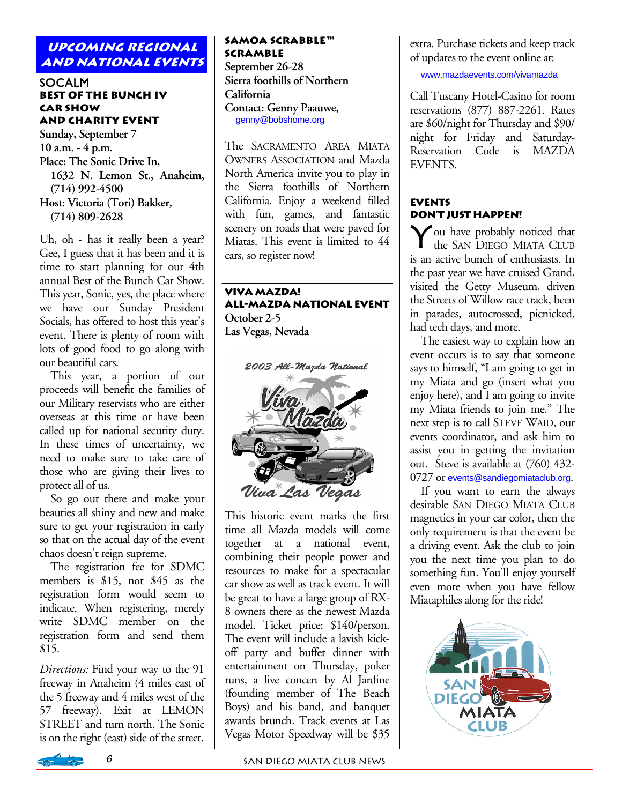#### **UPCOMING regional and national events**

#### **SOCALM Best of the Bunch IV Car Show and Charity Event**

**Sunday, September 7 10 a.m. - 4 p.m. Place: The Sonic Drive In, 1632 N. Lemon St., Anaheim, (714) 992-4500 Host: Victoria (Tori) Bakker, (714) 809-2628** 

Uh, oh - has it really been a year? Gee, I guess that it has been and it is time to start planning for our 4th annual Best of the Bunch Car Show. This year, Sonic, yes, the place where we have our Sunday President Socials, has offered to host this year's event. There is plenty of room with lots of good food to go along with our beautiful cars.

 This year, a portion of our proceeds will benefit the families of our Military reservists who are either overseas at this time or have been called up for national security duty. In these times of uncertainty, we need to make sure to take care of those who are giving their lives to protect all of us.

 So go out there and make your beauties all shiny and new and make sure to get your registration in early so that on the actual day of the event chaos doesn't reign supreme.

 The registration fee for SDMC members is \$15, not \$45 as the registration form would seem to indicate. When registering, merely write SDMC member on the registration form and send them \$15.

*Directions:* Find your way to the 91 freeway in Anaheim (4 miles east of the 5 freeway and 4 miles west of the 57 freeway). Exit at LEMON STREET and turn north. The Sonic is on the right (east) side of the street.

#### **SAMOA Scrabble™ Scramble**

**September 26-28 Sierra foothills of Northern California Contact: Genny Paauwe,**  genny@bobshome.org

The SACRAMENTO AREA MIATA OWNERS ASSOCIATION and Mazda North America invite you to play in the Sierra foothills of Northern California. Enjoy a weekend filled with fun, games, and fantastic scenery on roads that were paved for Miatas. This event is limited to 44 cars, so register now! Ī

**Viva Mazda! All-Mazda National Event October 2-5 Las Vegas, Nevada** 



This historic event marks the first time all Mazda models will come together at a national event, combining their people power and resources to make for a spectacular car show as well as track event. It will be great to have a large group of RX-8 owners there as the newest Mazda model. Ticket price: \$140/person. The event will include a lavish kickoff party and buffet dinner with entertainment on Thursday, poker runs, a live concert by Al Jardine (founding member of The Beach Boys) and his band, and banquet awards brunch. Track events at Las Vegas Motor Speedway will be \$35

extra. Purchase tickets and keep track of updates to the event online at:

www.mazdaevents.com/vivamazda

Call Tuscany Hotel-Casino for room reservations (877) 887-2261. Rates are \$60/night for Thursday and \$90/ night for Friday and Saturday-Reservation Code is MAZDA EVENTS.

#### **Events Don't Just Happen!**

You have probably noticed that the SAN DIEGO MIATA CLUB is an active bunch of enthusiasts. In the past year we have cruised Grand, visited the Getty Museum, driven the Streets of Willow race track, been in parades, autocrossed, picnicked, had tech days, and more.

 The easiest way to explain how an event occurs is to say that someone says to himself, "I am going to get in my Miata and go (insert what you enjoy here), and I am going to invite my Miata friends to join me." The next step is to call STEVE WAID, our events coordinator, and ask him to assist you in getting the invitation out. Steve is available at (760) 432- 0727 or events@sandiegomiataclub.org.

 If you want to earn the always desirable SAN DIEGO MIATA CLUB magnetics in your car color, then the only requirement is that the event be a driving event. Ask the club to join you the next time you plan to do something fun. You'll enjoy yourself even more when you have fellow Miataphiles along for the ride!



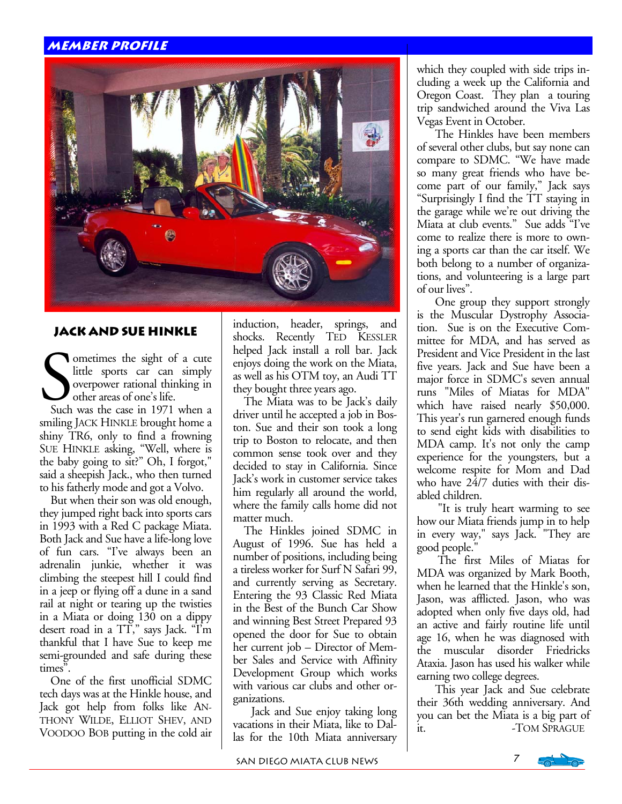#### **member profile**



#### **Jack and Sue Hinkle**

ometimes the sight of a cute little sports car can simply overpower rational thinking in other areas of one's life.

 Such was the case in 1971 when a smiling JACK HINKLE brought home a shiny TR6, only to find a frowning SUE HINKLE asking, "Well, where is the baby going to sit?" Oh, I forgot," said a sheepish Jack., who then turned to his fatherly mode and got a Volvo.

 But when their son was old enough, they jumped right back into sports cars in 1993 with a Red C package Miata. Both Jack and Sue have a life-long love of fun cars. "I've always been an adrenalin junkie, whether it was climbing the steepest hill I could find in a jeep or flying off a dune in a sand rail at night or tearing up the twisties in a Miata or doing 130 on a dippy desert road in a TT," says Jack. "I'm thankful that I have Sue to keep me semi-grounded and safe during these times".

 One of the first unofficial SDMC tech days was at the Hinkle house, and Jack got help from folks like AN-THONY WILDE, ELLIOT SHEV, AND VOODOO BOB putting in the cold air induction, header, springs, and shocks. Recently TED KESSLER helped Jack install a roll bar. Jack enjoys doing the work on the Miata, as well as his OTM toy, an Audi TT they bought three years ago.

 The Miata was to be Jack's daily driver until he accepted a job in Boston. Sue and their son took a long trip to Boston to relocate, and then common sense took over and they decided to stay in California. Since Jack's work in customer service takes him regularly all around the world, where the family calls home did not matter much.

 The Hinkles joined SDMC in August of 1996. Sue has held a number of positions, including being a tireless worker for Surf N Safari 99, and currently serving as Secretary. Entering the 93 Classic Red Miata in the Best of the Bunch Car Show and winning Best Street Prepared 93 opened the door for Sue to obtain her current job – Director of Member Sales and Service with Affinity Development Group which works with various car clubs and other organizations.

 Jack and Sue enjoy taking long vacations in their Miata, like to Dallas for the 10th Miata anniversary

which they coupled with side trips including a week up the California and Oregon Coast. They plan a touring trip sandwiched around the Viva Las Vegas Event in October.

 The Hinkles have been members of several other clubs, but say none can compare to SDMC. "We have made so many great friends who have become part of our family," Jack says "Surprisingly I find the TT staying in the garage while we're out driving the Miata at club events." Sue adds "I've come to realize there is more to owning a sports car than the car itself. We both belong to a number of organizations, and volunteering is a large part of our lives".

 One group they support strongly is the Muscular Dystrophy Association. Sue is on the Executive Committee for MDA, and has served as President and Vice President in the last five years. Jack and Sue have been a major force in SDMC's seven annual runs "Miles of Miatas for MDA" which have raised nearly \$50,000. This year's run garnered enough funds to send eight kids with disabilities to MDA camp. It's not only the camp experience for the youngsters, but a welcome respite for Mom and Dad who have 24/7 duties with their disabled children.

 "It is truly heart warming to see how our Miata friends jump in to help in every way," says Jack. "They are good people."

*Editor's note: To be included in our*  adopted when only five days old, had *ongoing series of Member Profiles,*  an active and fairly routine life until age 10, when he was diagnosed with<br>the muscular disorder Friedricks *summary and e-mail it to:*  Ataxia. Jason has used his walker while earning two college degrees. The first Miles of Miatas for MDA was organized by Mark Booth, when he learned that the Hinkle's son, Jason, was afflicted. Jason, who was age 16, when he was diagnosed with

*This year Jack and Sue celebrate* their 36th wedding anniversary. And *We want to be able see your face. —*  you can bet the Miata is a big part of *Your photo will be returned.* it. -TOM SPRAGUE

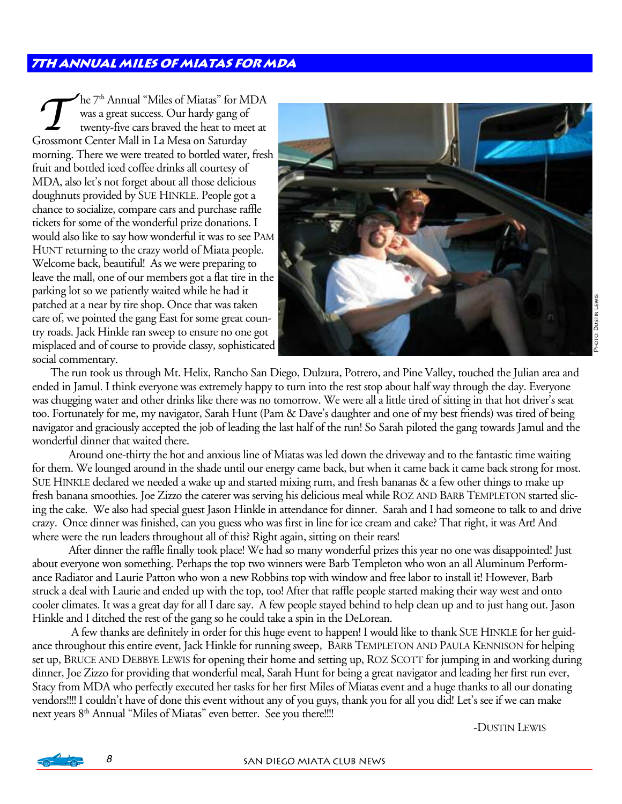#### **7th Annual miles of Miatas for MDA**

The 7<sup>th</sup> Annual "Miles of Miatas" for MDA<br>was a great success. Our hardy gang of<br>twenty-five cars braved the heat to meet at was a great success. Our hardy gang of Grossmont Center Mall in La Mesa on Saturday morning. There we were treated to bottled water, fresh fruit and bottled iced coffee drinks all courtesy of MDA, also let's not forget about all those delicious doughnuts provided by SUE HINKLE. People got a chance to socialize, compare cars and purchase raffle tickets for some of the wonderful prize donations. I would also like to say how wonderful it was to see PAM HUNT returning to the crazy world of Miata people. Welcome back, beautiful! As we were preparing to leave the mall, one of our members got a flat tire in the parking lot so we patiently waited while he had it patched at a near by tire shop. Once that was taken care of, we pointed the gang East for some great country roads. Jack Hinkle ran sweep to ensure no one got misplaced and of course to provide classy, sophisticated social commentary.



The run took us through Mt. Helix, Rancho San Diego, Dulzura, Potrero, and Pine Valley, touched the Julian area and ended in Jamul. I think everyone was extremely happy to turn into the rest stop about half way through the day. Everyone was chugging water and other drinks like there was no tomorrow. We were all a little tired of sitting in that hot driver's seat too. Fortunately for me, my navigator, Sarah Hunt (Pam & Dave's daughter and one of my best friends) was tired of being navigator and graciously accepted the job of leading the last half of the run! So Sarah piloted the gang towards Jamul and the wonderful dinner that waited there.

Around one-thirty the hot and anxious line of Miatas was led down the driveway and to the fantastic time waiting for them. We lounged around in the shade until our energy came back, but when it came back it came back strong for most. SUE HINKLE declared we needed a wake up and started mixing rum, and fresh bananas & a few other things to make up fresh banana smoothies. Joe Zizzo the caterer was serving his delicious meal while ROZ AND BARB TEMPLETON started slicing the cake. We also had special guest Jason Hinkle in attendance for dinner. Sarah and I had someone to talk to and drive crazy. Once dinner was finished, can you guess who was first in line for ice cream and cake? That right, it was Art! And where were the run leaders throughout all of this? Right again, sitting on their rears!

After dinner the raffle finally took place! We had so many wonderful prizes this year no one was disappointed! Just about everyone won something. Perhaps the top two winners were Barb Templeton who won an all Aluminum Performance Radiator and Laurie Patton who won a new Robbins top with window and free labor to install it! However, Barb struck a deal with Laurie and ended up with the top, too! After that raffle people started making their way west and onto cooler climates. It was a great day for all I dare say. A few people stayed behind to help clean up and to just hang out. Jason Hinkle and I ditched the rest of the gang so he could take a spin in the DeLorean.

 A few thanks are definitely in order for this huge event to happen! I would like to thank SUE HINKLE for her guidance throughout this entire event, Jack Hinkle for running sweep, BARB TEMPLETON AND PAULA KENNISON for helping set up, BRUCE AND DEBBYE LEWIS for opening their home and setting up, ROZ SCOTT for jumping in and working during dinner, Joe Zizzo for providing that wonderful meal, Sarah Hunt for being a great navigator and leading her first run ever, Stacy from MDA who perfectly executed her tasks for her first Miles of Miatas event and a huge thanks to all our donating vendors!!!! I couldn't have of done this event without any of you guys, thank you for all you did! Let's see if we can make next years 8<sup>th</sup> Annual "Miles of Miatas" even better. See you there!!!!

-DUSTIN LEWIS



8 SAN DIEGO MIATA CLUB NEWS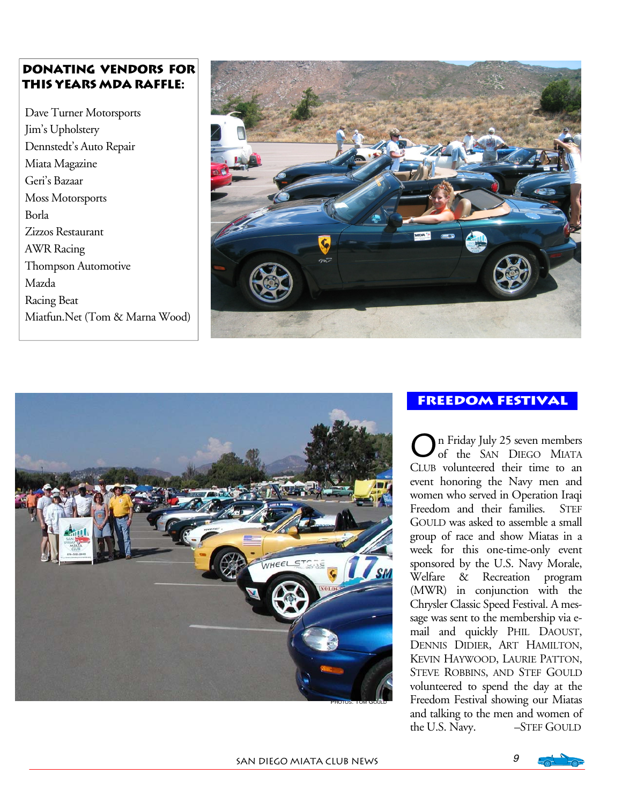#### **DONATING VENDORS for this years MDA raffle:**

 Dave Turner Motorsports Jim's Upholstery Dennstedt's Auto Repair Miata Magazine Geri's Bazaar Moss Motorsports Borla Zizzos Restaurant AWR Racing Thompson Automotive Mazda Racing Beat Miatfun.Net (Tom & Marna Wood)





#### **Freedom festival**

O n Friday July 25 seven members of the SAN DIEGO MIATA CLUB volunteered their time to an event honoring the Navy men and women who served in Operation Iraqi Freedom and their families. STEF GOULD was asked to assemble a small group of race and show Miatas in a week for this one-time-only event sponsored by the U.S. Navy Morale, Welfare & Recreation program (MWR) in conjunction with the Chrysler Classic Speed Festival. A message was sent to the membership via email and quickly PHIL DAOUST, DENNIS DIDIER, ART HAMILTON, KEVIN HAYWOOD, LAURIE PATTON, STEVE ROBBINS, AND STEF GOULD volunteered to spend the day at the Freedom Festival showing our Miatas and talking to the men and women of the U.S. Navy. -STEF GOULD